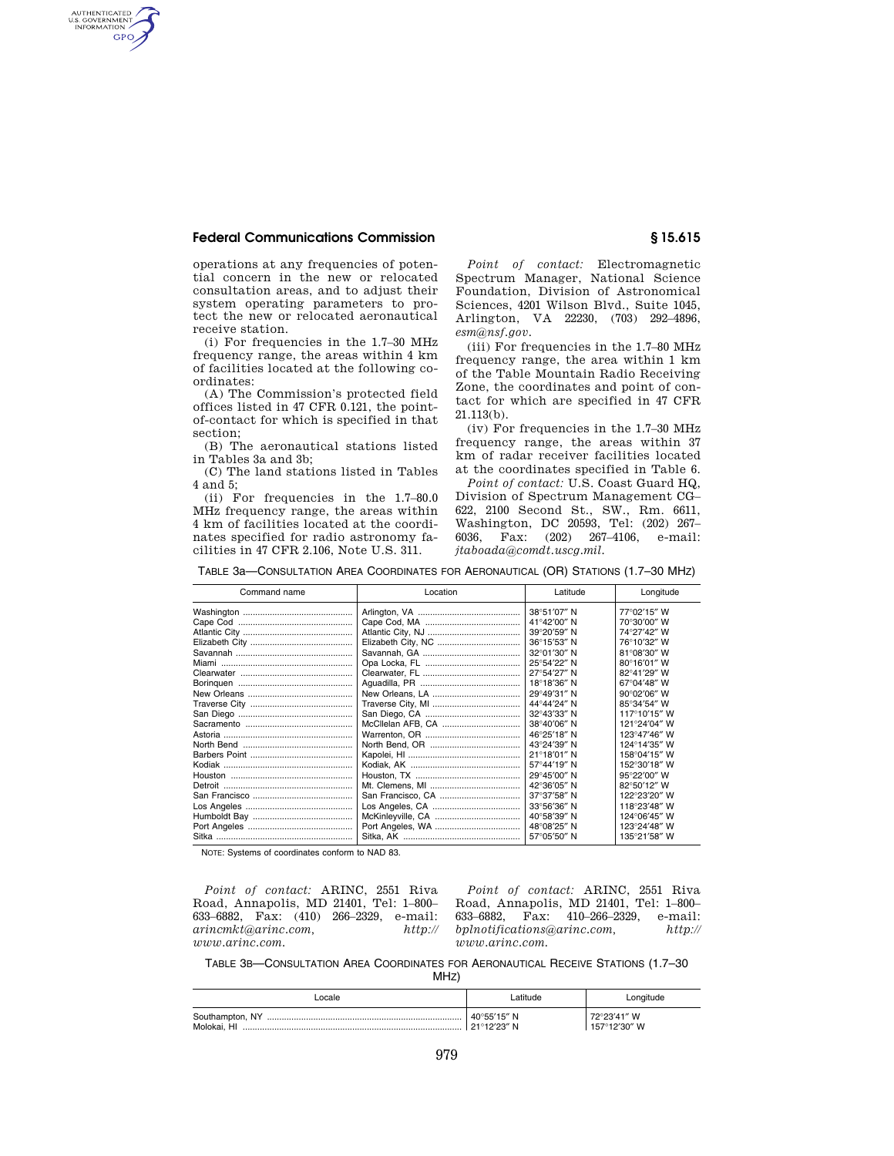## **Federal Communications Commission § 15.615**

AUTHENTICATED<br>U.S. GOVERNMENT<br>INFORMATION **GPO** 

> operations at any frequencies of potential concern in the new or relocated consultation areas, and to adjust their system operating parameters to protect the new or relocated aeronautical receive station.

> (i) For frequencies in the 1.7–30 MHz frequency range, the areas within 4 km of facilities located at the following coordinates:

> (A) The Commission's protected field offices listed in 47 CFR 0.121, the pointof-contact for which is specified in that section;

> (B) The aeronautical stations listed in Tables 3a and 3b;

> (C) The land stations listed in Tables 4 and 5;

> (ii) For frequencies in the 1.7–80.0 MHz frequency range, the areas within 4 km of facilities located at the coordinates specified for radio astronomy facilities in 47 CFR 2.106, Note U.S. 311.

*Point of contact:* Electromagnetic Spectrum Manager, National Science Foundation, Division of Astronomical Sciences, 4201 Wilson Blvd., Suite 1045, Arlington, VA 22230, (703) 292–4896, *esm@nsf.gov.* 

(iii) For frequencies in the 1.7–80 MHz frequency range, the area within 1 km of the Table Mountain Radio Receiving Zone, the coordinates and point of contact for which are specified in 47 CFR 21.113(b).

(iv) For frequencies in the 1.7–30 MHz frequency range, the areas within 37 km of radar receiver facilities located at the coordinates specified in Table 6.

*Point of contact:* U.S. Coast Guard HQ, Division of Spectrum Management CG– 622, 2100 Second St., SW., Rm. 6611, Washington, DC 20593, Tel: (202) 267– 6036, Fax: (202) 267–4106, e-mail: *jtaboada@comdt.uscg.mil.* 

TABLE 3a—CONSULTATION AREA COORDINATES FOR AERONAUTICAL (OR) STATIONS (1.7–30 MHZ)

| Command name | Location | Latitude              | Longitude    |
|--------------|----------|-----------------------|--------------|
|              |          | 38°51'07" N           | 77°02'15" W  |
|              |          | 41°42'00" N           | 70°30'00" W  |
|              |          | 39°20'59" N           | 74°27'42" W  |
|              |          | 36°15'53" N           | 76°10'32" W  |
|              |          | 32°01'30" N           | 81°08'30" W  |
|              |          | 25°54'22" N           | 80°16'01" W  |
|              |          | 27°54'27" N           | 82°41'29" W  |
|              |          | 18°18'36" N           | 67°04'48" W  |
|              |          | 29°49'31" N           | 90°02'06" W  |
|              |          | 44°44'24" N           | 85°34'54" W  |
|              |          | 32°43'33" N           | 117°10'15" W |
|              |          | 38°40'06" N           | 121°24'04" W |
|              |          | 46°25'18" N           | 123°47'46" W |
|              |          | 43°24'39" N           | 124°14'35" W |
|              |          | 21°18'01" N           | 158°04'15" W |
|              |          | 57°44'19" N           | 152°30'18" W |
|              |          | 29°45'00" N           | 95°22'00" W  |
|              |          | 42°36'05" N           | 82°50'12" W  |
|              |          | $37^{\circ}37'58''$ N | 122°23'20" W |
|              |          | 33°56'36" N           | 118°23'48" W |
|              |          | 40°58'39" N           | 124°06'45" W |
|              |          | 48°08'25" N           | 123°24'48" W |
|              |          | 57°05'50" N           | 135°21′58″ W |

NOTE: Systems of coordinates conform to NAD 83.

*Point of contact:* ARINC, 2551 Riva Road, Annapolis, MD 21401, Tel: 1–800– 633–6882, Fax: (410) 266–2329, e-mail: *arincmkt@arinc.com, http:// www.arinc.com.* 

*Point of contact:* ARINC, 2551 Riva Road, Annapolis, MD 21401, Tel: 1–800– 633–6882, Fax: 410–266–2329, e-mail: *bplnotifications@arinc.com, http:// www.arinc.com.* 

TABLE 3B—CONSULTATION AREA COORDINATES FOR AERONAUTICAL RECEIVE STATIONS (1.7–30

| ocale                          |                              | Longitude                   |
|--------------------------------|------------------------------|-----------------------------|
| Southampton, NY<br>Molokai. HI | 40°55'15" N<br>∣ 21°12′23″ N | 72°23′41″ W<br>157°12′30″ W |